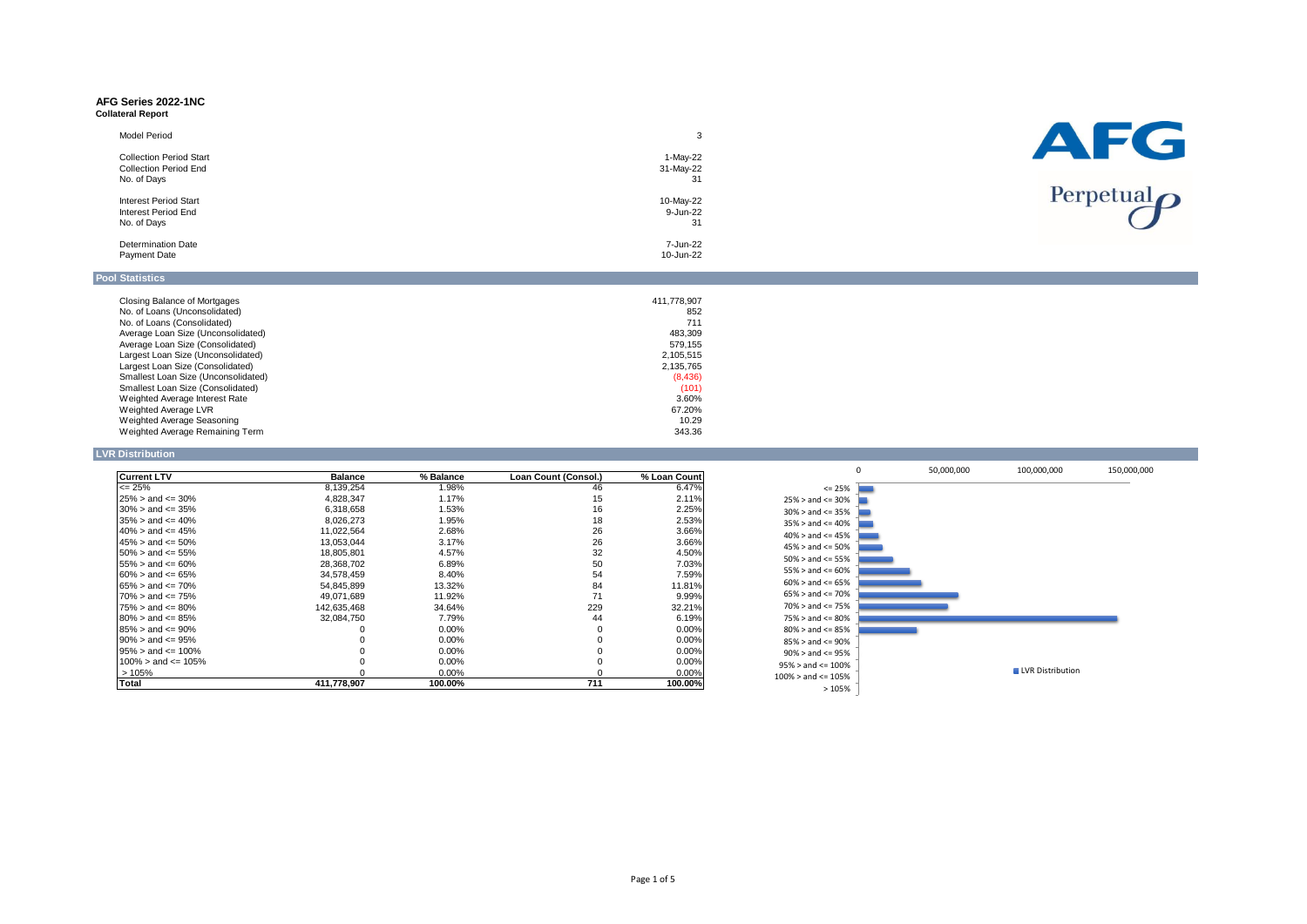#### **AFG Series 2022-1NC Collateral Report**

| Model Period                   |           | AFG                        |
|--------------------------------|-----------|----------------------------|
| <b>Collection Period Start</b> | 1-May-22  |                            |
| <b>Collection Period End</b>   | 31-May-22 |                            |
| No. of Days                    | 31        |                            |
|                                |           | Perpetual $\boldsymbol{O}$ |
| <b>Interest Period Start</b>   | 10-May-22 |                            |
| Interest Period End            | 9-Jun-22  |                            |
| No. of Days                    | 31        |                            |
|                                |           |                            |
| <b>Determination Date</b>      | 7-Jun-22  |                            |
| Payment Date                   | 10-Jun-22 |                            |
|                                |           |                            |

# **Pool Statistics**

| Closing Balance of Mortgages        | 411.778.907 |
|-------------------------------------|-------------|
| No. of Loans (Unconsolidated)       | 852         |
| No. of Loans (Consolidated)         | 711         |
| Average Loan Size (Unconsolidated)  | 483.309     |
| Average Loan Size (Consolidated)    | 579.155     |
| Largest Loan Size (Unconsolidated)  | 2.105.515   |
| Largest Loan Size (Consolidated)    | 2.135.765   |
| Smallest Loan Size (Unconsolidated) | (8,436)     |
| Smallest Loan Size (Consolidated)   | (101)       |
| Weighted Average Interest Rate      | 3.60%       |
| Weighted Average LVR                | 67.20%      |
| Weighted Average Seasoning          | 10.29       |
| Weighted Average Remaining Term     | 343.36      |

## **LVR Distribution**

| <b>Current LTV</b>        | <b>Balance</b> | % Balance | Loan Count (Consol.) | % Loan Count |
|---------------------------|----------------|-----------|----------------------|--------------|
| $\leq$ 25%                | 8,139,254      | 1.98%     | 46                   | 6.47%        |
| $25\% >$ and $\leq 30\%$  | 4,828,347      | 1.17%     | 15                   | 2.11%        |
| $30\% >$ and $\leq 35\%$  | 6.318.658      | 1.53%     | 16                   | 2.25%        |
| $35\% >$ and $\leq 40\%$  | 8.026.273      | 1.95%     | 18                   | 2.53%        |
| $40\% >$ and $\leq 45\%$  | 11,022,564     | 2.68%     | 26                   | 3.66%        |
| $45\% >$ and $\leq 50\%$  | 13.053.044     | 3.17%     | 26                   | 3.66%        |
| $50\% >$ and $\leq 55\%$  | 18.805.801     | 4.57%     | 32                   | 4.50%        |
| $155\% >$ and $\leq 60\%$ | 28.368.702     | 6.89%     | 50                   | 7.03%        |
| $60\% >$ and $\leq 65\%$  | 34.578.459     | 8.40%     | 54                   | 7.59%        |
| $65\% >$ and $\leq 70\%$  | 54.845.899     | 13.32%    | 84                   | 11.81%       |
| $70\% >$ and $\leq 75\%$  | 49,071,689     | 11.92%    | 71                   | 9.99%        |
| $75\% >$ and $\leq 80\%$  | 142,635,468    | 34.64%    | 229                  | 32.21%       |
| $80\% >$ and $\leq 85\%$  | 32.084.750     | 7.79%     | 44                   | 6.19%        |
| $85\% >$ and $\leq 90\%$  |                | $0.00\%$  | 0                    | 0.00%        |
| $90\% >$ and $\leq 95\%$  |                | 0.00%     | 0                    | 0.00%        |
| $95\% >$ and $\leq 100\%$ |                | $0.00\%$  |                      | 0.00%        |
| $100\%$ > and <= 105%     |                | $0.00\%$  |                      | 0.00%        |
| >105%                     |                | $0.00\%$  |                      | 0.00%        |
| Total                     | 411.778.907    | 100.00%   | 711                  | 100.00%      |

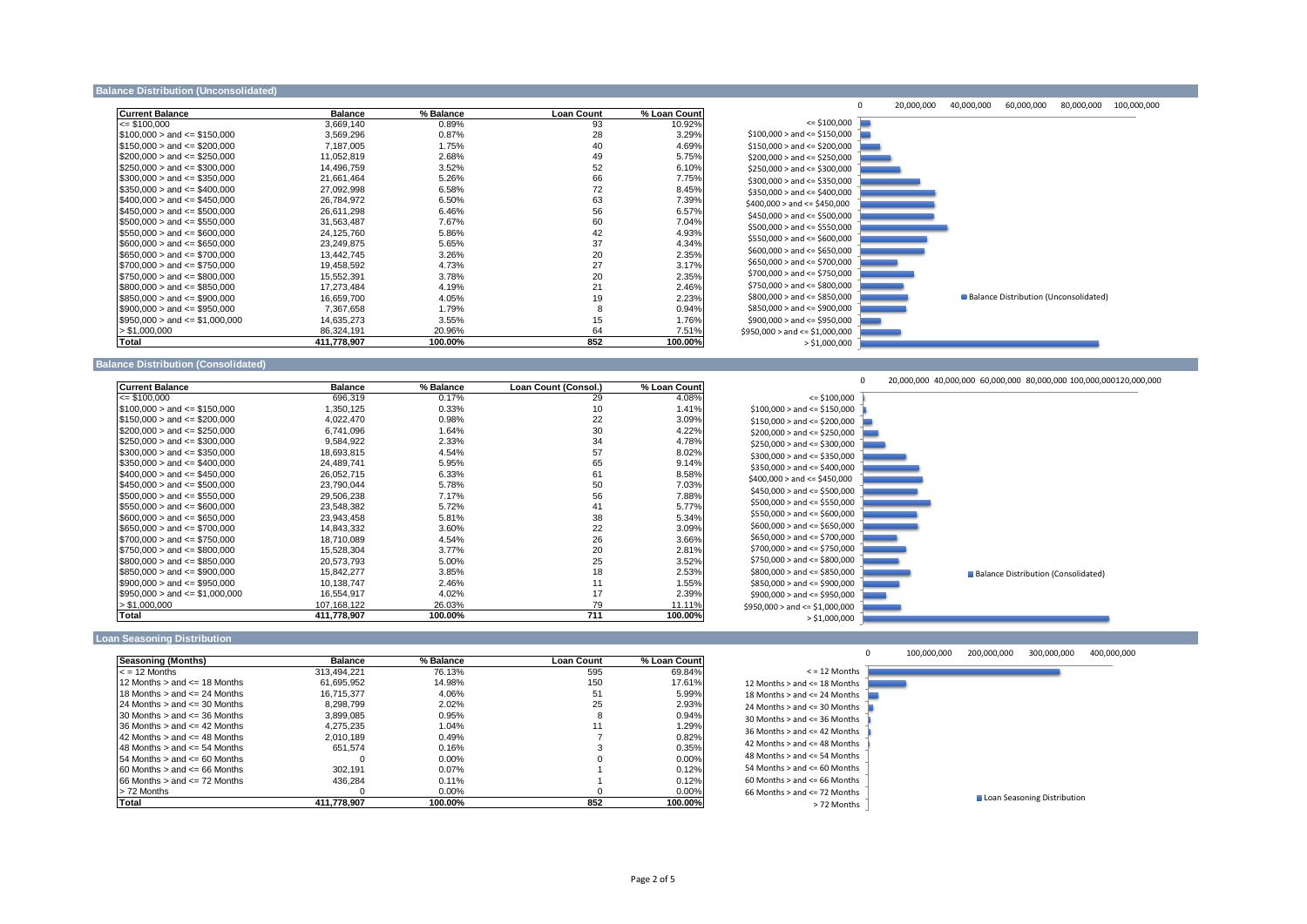#### **Balance Distribution (Unconsolidated**

| <b>Current Balance</b>            | <b>Balance</b> | % Balance | <b>Loan Count</b> | % Loan Count |
|-----------------------------------|----------------|-----------|-------------------|--------------|
| $\leq$ \$100.000                  | 3,669,140      | 0.89%     | 93                | 10.92%       |
| $$100.000 >$ and $\leq$ \$150.000 | 3,569,296      | 0.87%     | 28                | 3.29%        |
| $$150,000 >$ and $\leq$ \$200,000 | 7,187,005      | 1.75%     | 40                | 4.69%        |
| $$200,000 >$ and $\leq$ \$250,000 | 11,052,819     | 2.68%     | 49                | 5.75%        |
| $$250.000 >$ and $\leq$ \$300.000 | 14,496,759     | 3.52%     | 52                | 6.10%        |
| $$300.000 >$ and $\leq$ \$350.000 | 21.661.464     | 5.26%     | 66                | 7.75%        |
| $$350,000 >$ and $\leq$ \$400,000 | 27,092,998     | 6.58%     | 72                | 8.45%        |
| $$400.000 >$ and $\leq$ \$450.000 | 26.784.972     | 6.50%     | 63                | 7.39%        |
| $$450.000 >$ and $\leq$ \$500.000 | 26.611.298     | 6.46%     | 56                | 6.57%        |
| $$500.000 >$ and $\leq$ \$550.000 | 31.563.487     | 7.67%     | 60                | 7.04%        |
| $$550,000 >$ and $\leq 0.000$     | 24,125,760     | 5.86%     | 42                | 4.93%        |
| $$600,000 >$ and $\leq$ \$650,000 | 23,249,875     | 5.65%     | 37                | 4.34%        |
| $$650.000 >$ and $\leq$ \$700.000 | 13.442.745     | 3.26%     | 20                | 2.35%        |
| $$700,000 >$ and $\leq$ \$750,000 | 19,458,592     | 4.73%     | 27                | 3.17%        |
| $$750,000 >$ and $\leq$ \$800,000 | 15,552,391     | 3.78%     | 20                | 2.35%        |
| $$800.000 >$ and $\leq$ \$850.000 | 17.273.484     | 4.19%     | 21                | 2.46%        |
| $$850,000 >$ and $\leq$ \$900,000 | 16,659,700     | 4.05%     | 19                | 2.23%        |
| $$900,000 >$ and $\leq$ \$950,000 | 7,367,658      | 1.79%     | 8                 | 0.94%        |
| $$950.000 >$ and $\leq 1.000.000$ | 14.635.273     | 3.55%     | 15                | 1.76%        |
| > \$1,000,000                     | 86,324,191     | 20.96%    | 64                | 7.51%        |
| Total                             | 411,778,907    | 100.00%   | 852               | 100.00%      |



### **Balance Distribution (Consolidated)**

| <b>Current Balance</b>             | <b>Balance</b> | % Balance | Loan Count (Consol.) | % Loan Count |
|------------------------------------|----------------|-----------|----------------------|--------------|
| $\leq$ \$100,000                   | 696,319        | 0.17%     | 29                   | 4.08%        |
| $$100.000 >$ and $\leq$ \$150.000  | 1,350,125      | 0.33%     | 10                   | 1.41%        |
| $$150.000 >$ and $\leq$ \$200.000  | 4.022.470      | 0.98%     | 22                   | 3.09%        |
| $$200.000 >$ and $\leq$ \$250.000  | 6.741.096      | 1.64%     | 30                   | 4.22%        |
| $$250,000 >$ and $\leq$ \$300,000  | 9,584,922      | 2.33%     | 34                   | 4.78%        |
| $$300.000 >$ and $\leq$ \$350.000  | 18.693.815     | 4.54%     | 57                   | 8.02%        |
| $$350,000 >$ and $\leq 400,000$    | 24,489,741     | 5.95%     | 65                   | 9.14%        |
| $$400.000 >$ and $\leq$ \$450.000  | 26.052.715     | 6.33%     | 61                   | 8.58%        |
| $$450.000 >$ and $\leq$ \$500.000  | 23.790.044     | 5.78%     | 50                   | 7.03%        |
| $\$500.000 >$ and $\leq$ \$550.000 | 29,506,238     | 7.17%     | 56                   | 7.88%        |
| $$550,000 >$ and $\leq 200,000$    | 23,548,382     | 5.72%     | 41                   | 5.77%        |
| $$600.000 >$ and $\leq$ \$650.000  | 23.943.458     | 5.81%     | 38                   | 5.34%        |
| $$650,000 >$ and $\leq$ \$700,000  | 14,843,332     | 3.60%     | 22                   | 3.09%        |
| $$700.000 >$ and $\leq$ \$750.000  | 18.710.089     | 4.54%     | 26                   | 3.66%        |
| $$750.000 >$ and $\leq$ \$800.000  | 15.528.304     | 3.77%     | 20                   | 2.81%        |
| $$800,000 >$ and $\leq$ \$850,000  | 20,573,793     | 5.00%     | 25                   | 3.52%        |
| $$850,000 >$ and $\leq$ \$900,000  | 15.842.277     | 3.85%     | 18                   | 2.53%        |
| $$900.000 >$ and $\leq$ \$950.000  | 10,138,747     | 2.46%     | 11                   | 1.55%        |
| $$950,000 >$ and $\leq 1,000,000$  | 16,554,917     | 4.02%     | 17                   | 2.39%        |
| > \$1,000,000                      | 107,168,122    | 26.03%    | 79                   | 11.11%       |
| Total                              | 411.778.907    | 100.00%   | 711                  | 100.00%      |





### **Loan Seasoning Distribution**

| Seasoning (Months)                    | <b>Balance</b> | % Balance | <b>Loan Count</b> | % Loan Count |       |
|---------------------------------------|----------------|-----------|-------------------|--------------|-------|
| $\leq$ = 12 Months                    | 313.494.221    | 76.13%    | 595               | 69.84%       |       |
| 12 Months $>$ and $\leq$ 18 Months    | 61.695.952     | 14.98%    | 150               | 17.61%       | 12 Mo |
| 18 Months $>$ and $\leq$ 24 Months    | 16.715.377     | 4.06%     | 51                | 5.99%        | 18 Mo |
| 24 Months $>$ and $\leq$ 30 Months    | 8.298.799      | 2.02%     | 25                | 2.93%        | 24 Mo |
| 30 Months $>$ and $\leq$ 36 Months    | 3.899.085      | 0.95%     | 8                 | 0.94%        | 30 Mo |
| 36 Months $>$ and $\leq$ 42 Months    | 4.275.235      | 1.04%     |                   | 1.29%        | 36 Mo |
| 42 Months $>$ and $\leq$ 48 Months    | 2.010.189      | 0.49%     |                   | 0.82%        |       |
| 48 Months $>$ and $\leq$ 54 Months    | 651.574        | 0.16%     |                   | 0.35%        | 42 Mo |
| $154$ Months $>$ and $\leq 60$ Months |                | $0.00\%$  |                   | 0.00%        | 48 Mo |
| $60$ Months $>$ and $\leq 66$ Months  | 302.191        | $0.07\%$  |                   | 0.12%        | 54 Mo |
| $66$ Months $>$ and $\leq$ 72 Months  | 436.284        | 0.11%     |                   | 0.12%        | 60 Mo |
| > 72 Months                           |                | $0.00\%$  |                   | $0.00\%$     | 66 Mo |
| Total                                 | 411.778.907    | 100.00%   | 852               | 100.00%      |       |



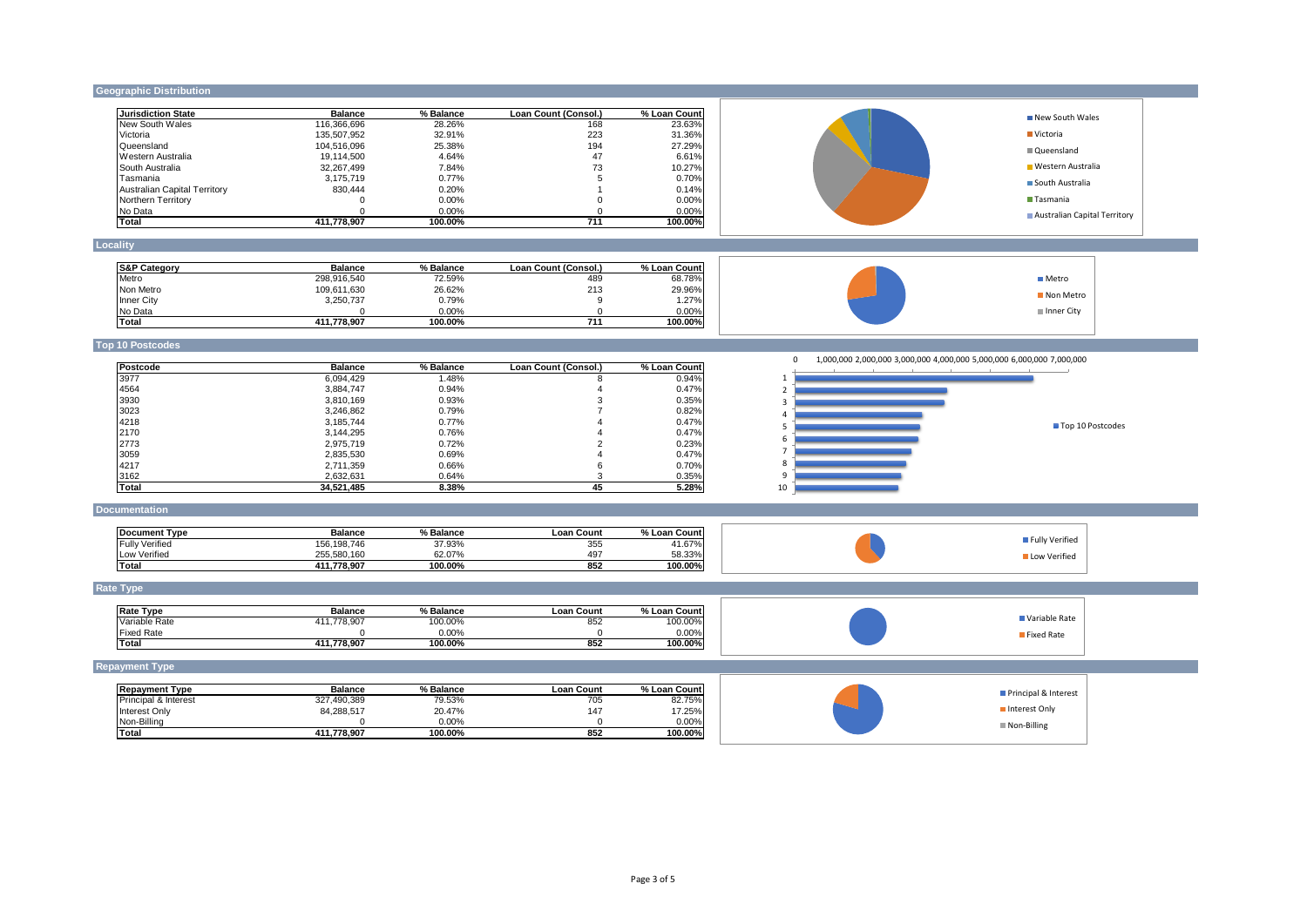## **Geographic Distribution**

| <b>Jurisdiction State</b>           | <b>Balance</b> | % Balance | Loan Count (Consol.) | % Loan Count | New South Wales                                                                   |
|-------------------------------------|----------------|-----------|----------------------|--------------|-----------------------------------------------------------------------------------|
| New South Wales                     | 116,366,696    | 28.26%    | 168                  | 23.63%       |                                                                                   |
| Victoria                            | 135,507,952    | 32.91%    | 223                  | 31.36%       | ■ Victoria                                                                        |
| Queensland                          | 104,516,096    | 25.38%    | 194                  | 27.29%       | <b>■ Queensland</b>                                                               |
| Western Australia                   | 19,114,500     | 4.64%     | 47                   | 6.61%        |                                                                                   |
| South Australia                     | 32,267,499     | 7.84%     | 73                   | 10.27%       | Western Australia                                                                 |
| Tasmania                            | 3,175,719      | 0.77%     | 5                    | 0.70%        |                                                                                   |
| <b>Australian Capital Territory</b> | 830,444        | 0.20%     | -1                   | 0.14%        | South Australia                                                                   |
| Northern Territory                  | $\Omega$       | 0.00%     | $\Omega$             | 0.00%        | Tasmania                                                                          |
|                                     | $\Omega$       | 0.00%     | $\Omega$             | 0.00%        |                                                                                   |
| No Data                             |                |           |                      | 100.00%      | Australian Capital Territory                                                      |
| Total                               | 411,778,907    | 100.00%   | 711                  |              |                                                                                   |
|                                     |                |           |                      |              |                                                                                   |
| Locality                            |                |           |                      |              |                                                                                   |
|                                     |                |           |                      |              |                                                                                   |
| <b>S&amp;P Category</b>             | <b>Balance</b> | % Balance | Loan Count (Consol.) | % Loan Count |                                                                                   |
| Metro                               | 298,916,540    | 72.59%    | 489                  | 68.78%       | <b>■</b> Metro                                                                    |
| Non Metro                           | 109,611,630    | 26.62%    | 213                  | 29.96%       | Non Metro                                                                         |
| Inner City                          | 3,250,737      | 0.79%     | 9                    | 1.27%        |                                                                                   |
| No Data                             | $\Omega$       | 0.00%     | $\Omega$             | 0.00%        | Inner City                                                                        |
| <b>Total</b>                        | 411,778,907    | 100.00%   | 711                  | 100.00%      |                                                                                   |
|                                     |                |           |                      |              |                                                                                   |
| <b>Top 10 Postcodes</b>             |                |           |                      |              |                                                                                   |
|                                     |                |           |                      |              | 1,000,000 2,000,000 3,000,000 4,000,000 5,000,000 6,000,000 7,000,000<br>$\Omega$ |
| Postcode                            | <b>Balance</b> | % Balance | Loan Count (Consol.  | % Loan Count |                                                                                   |
| 3977                                | 6,094,429      | 1.48%     | 8                    | 0.94%        |                                                                                   |
| 4564                                | 3,884,747      | 0.94%     | $\overline{4}$       | 0.47%        | 2                                                                                 |
| 3930                                | 3,810,169      | 0.93%     | 3                    | 0.35%        | $\overline{\mathbf{3}}$                                                           |
| 3023                                | 3,246,862      | 0.79%     | $\overline{7}$       | 0.82%        |                                                                                   |
| 4218                                | 3,185,744      | 0.77%     | $\overline{4}$       | 0.47%        | $\overline{a}$                                                                    |
| 2170                                | 3,144,295      | 0.76%     | $\overline{4}$       | 0.47%        | Top 10 Postcodes<br>-5                                                            |
| 2773                                | 2,975,719      | 0.72%     | 2                    | 0.23%        | 6                                                                                 |
| 3059                                | 2,835,530      | 0.69%     | 4                    | 0.47%        | $\overline{7}$                                                                    |
| 4217                                |                |           | 6                    |              | 8                                                                                 |
|                                     | 2,711,359      | 0.66%     |                      | 0.70%        | 9                                                                                 |
| 3162                                | 2,632,631      | 0.64%     | 3                    | 0.35%        |                                                                                   |
| Total                               | 34,521,485     | 8.38%     | 45                   | 5.28%        | 10                                                                                |
| <b>Documentation</b>                |                |           |                      |              |                                                                                   |
|                                     |                |           |                      |              |                                                                                   |
| <b>Document Type</b>                | <b>Balance</b> | % Balance | <b>Loan Count</b>    | % Loan Count |                                                                                   |
|                                     |                |           |                      |              | Fully Verified                                                                    |
| <b>Fully Verified</b>               | 156, 198, 746  | 37.93%    | 355                  | 41.67%       |                                                                                   |
| Low Verified                        | 255,580,160    | 62.07%    | 497                  | 58.33%       | Low Verified                                                                      |
| <b>Total</b>                        | 411,778,907    | 100.00%   | 852                  | 100.00%      |                                                                                   |
|                                     |                |           |                      |              |                                                                                   |
| <b>Rate Type</b>                    |                |           |                      |              |                                                                                   |
|                                     |                |           |                      |              |                                                                                   |
| <b>Rate Type</b>                    | <b>Balance</b> | % Balance | <b>Loan Count</b>    | % Loan Count | Variable Rate                                                                     |
| Variable Rate                       | 411,778,907    | 100.00%   | 852                  | 100.00%      |                                                                                   |
| <b>Fixed Rate</b>                   | $\Omega$       | 0.00%     | $\Omega$             | 0.00%        | Fixed Rate                                                                        |
| Total                               | 411,778,907    | 100.00%   | 852                  | 100.00%      |                                                                                   |
|                                     |                |           |                      |              |                                                                                   |
| <b>Repayment Type</b>               |                |           |                      |              |                                                                                   |
|                                     | <b>Balance</b> | % Balance | <b>Loan Count</b>    | % Loan Count |                                                                                   |
| <b>Repayment Type</b>               |                |           |                      |              | Principal & Interest                                                              |
| Principal & Interest                | 327,490,389    | 79.53%    | 705                  | 82.75%       | Interest Only                                                                     |
| Interest Only                       | 84,288,517     | 20.47%    | 147                  | 17.25%       |                                                                                   |
| Non-Billing                         | $\Omega$       | 0.00%     | $\Omega$             | 0.00%        | Non-Billing                                                                       |
| <b>Total</b>                        | 411,778,907    | 100.00%   | 852                  | 100.00%      |                                                                                   |
|                                     |                |           |                      |              |                                                                                   |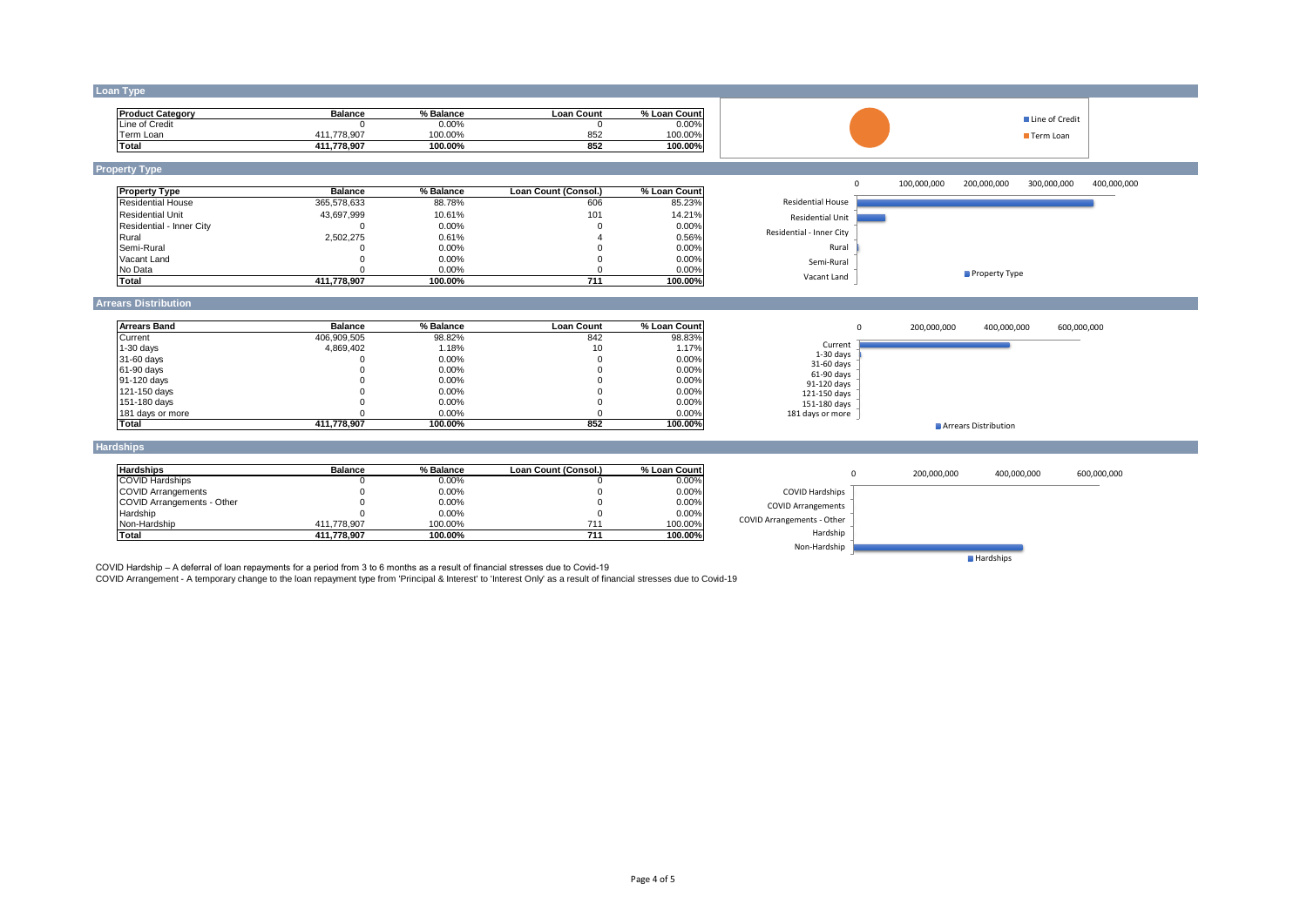## **Loan Type**

| <b>Product Category</b> | <b>Balance</b>  | % Balance | Loan Count | % Loan Count |
|-------------------------|-----------------|-----------|------------|--------------|
| Line of Credit          |                 | $0.00\%$  |            | $0.00\%$     |
| Ferm Loan               | .778.907<br>411 | 100.00%   | 852        | 100.00%      |
| Total                   | 411.778.907     | 100.00%   | 852        | 100.00%      |

## **Property Type**

| <b>Property Type</b>     | <b>Balance</b> | % Balance | Loan Count (Consol.) | % Loan Count |
|--------------------------|----------------|-----------|----------------------|--------------|
| <b>Residential House</b> | 365.578.633    | 88.78%    | 606                  | 85.23%       |
| Residential Unit         | 43.697.999     | 10.61%    | 101                  | 14.21%       |
| Residential - Inner City |                | 0.00%     |                      | $0.00\%$     |
| Rural                    | 2.502.275      | 0.61%     |                      | 0.56%        |
| Semi-Rural               |                | 0.00%     |                      | 0.00%        |
| Vacant Land              |                | 0.00%     |                      | 0.00%        |
| No Data                  |                | 0.00%     |                      | 0.00%        |
| <b>Total</b>             | 411.778.907    | 100.00%   | 711                  | 100.00%      |



■ Line of Credit Term Loan

## **Arrears Distribution**

| <b>Arrears Band</b> | <b>Balance</b> | % Balance | <b>Loan Count</b> | % Loan Count |
|---------------------|----------------|-----------|-------------------|--------------|
| Current             | 406.909.505    | 98.82%    | 842               | 98.83%       |
| $1-30$ days         | 4.869.402      | 1.18%     | 10                | 1.17%        |
| 31-60 days          |                | 0.00%     | υ.                | 0.00%        |
| 61-90 days          |                | 0.00%     |                   | 0.00%        |
| 91-120 days         |                | $0.00\%$  |                   | 0.00%        |
| 121-150 days        |                | 0.00%     |                   | 0.00%        |
| 151-180 days        |                | $0.00\%$  |                   | 0.00%        |
| 181 days or more    |                | $0.00\%$  |                   | 0.00%        |
| <b>Total</b>        | 411.778.907    | 100.00%   | 852               | 100.00%      |



### **Hardships**

| <b>Hardships</b>           | <b>Balance</b> | % Balance | Loan Count (Consol.) | % Loan Count |
|----------------------------|----------------|-----------|----------------------|--------------|
| <b>COVID Hardships</b>     |                | $0.00\%$  |                      | 0.00%        |
| <b>COVID Arrangements</b>  |                | 0.00%     |                      | 0.00%        |
| COVID Arrangements - Other |                | $0.00\%$  |                      | 0.00%        |
| Hardship                   |                | 0.00%     |                      | 0.00%        |
| Non-Hardship               | 411.778.907    | 100.00%   | 711                  | 100.00%      |
| Total                      | 411.778.907    | 100.00%   | 711                  | 100.00%      |



COVID Hardship – A deferral of loan repayments for a period from 3 to 6 months as a result of financial stresses due to Covid-19<br>COVID Arrangement - A temporary change to the loan repayment type from 'Principal & Interest'